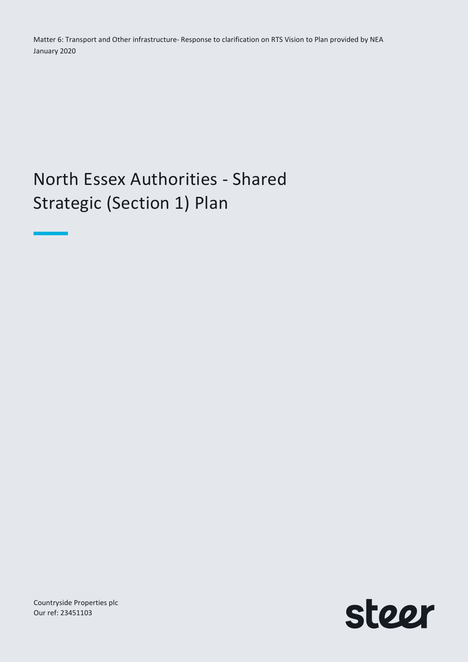Matter 6: Transport and Other infrastructure- Response to clarification on RTS Vision to Plan provided by NEA January 2020

# North Essex Authorities - Shared Strategic (Section 1) Plan

Countryside Properties plc Our ref: 23451103

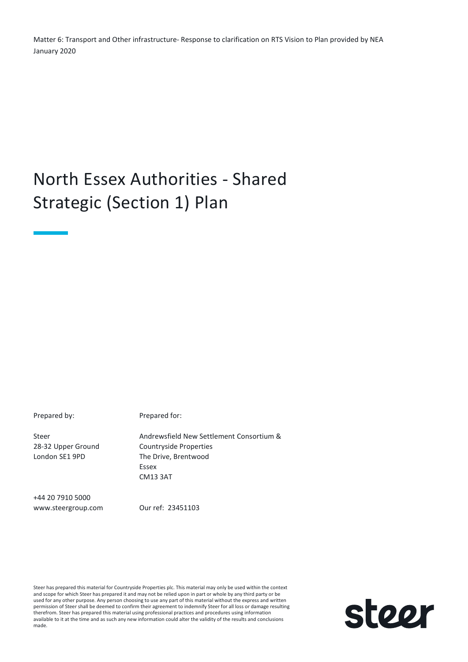Matter 6: Transport and Other infrastructure- Response to clarification on RTS Vision to Plan provided by NEA January 2020

## North Essex Authorities - Shared Strategic (Section 1) Plan

Prepared by: Prepared for:

Steer 28-32 Upper Ground London SE1 9PD

Andrewsfield New Settlement Consortium & Countryside Properties The Drive, Brentwood Essex CM13 3AT

+44 20 7910 5000 www.steergroup.com

Our ref: 23451103

Steer has prepared this material for Countryside Properties plc. This material may only be used within the context and scope for which Steer has prepared it and may not be relied upon in part or whole by any third party or be used for any other purpose. Any person choosing to use any part of this material without the express and written permission of Steer shall be deemed to confirm their agreement to indemnify Steer for all loss or damage resulting therefrom. Steer has prepared this material using professional practices and procedures using information available to it at the time and as such any new information could alter the validity of the results and conclusions made.

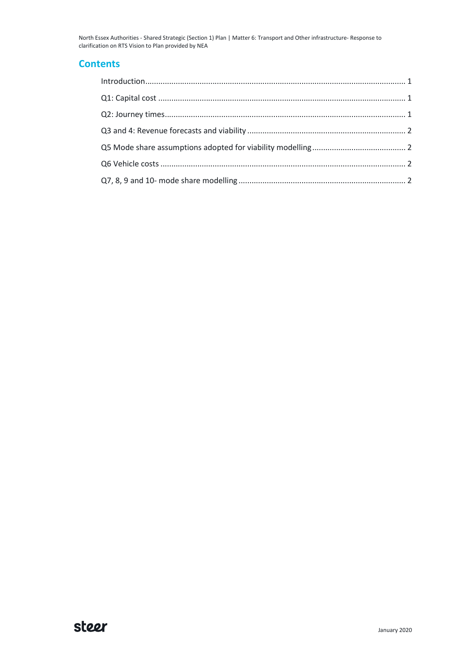North Essex Authorities - Shared Strategic (Section 1) Plan | Matter 6: Transport and Other infrastructure- Response to clarification on RTS Vision to Plan provided by NEA

#### **Contents**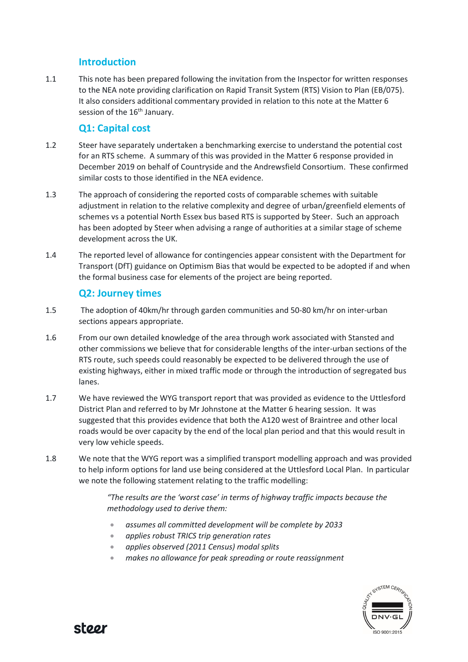### Introduction

1.1 This note has been prepared following the invitation from the Inspector for written responses to the NEA note providing clarification on Rapid Transit System (RTS) Vision to Plan (EB/075). It also considers additional commentary provided in relation to this note at the Matter 6 session of the 16<sup>th</sup> January.

## Q1: Capital cost

- 1.2 Steer have separately undertaken a benchmarking exercise to understand the potential cost for an RTS scheme. A summary of this was provided in the Matter 6 response provided in December 2019 on behalf of Countryside and the Andrewsfield Consortium. These confirmed similar costs to those identified in the NEA evidence.
- 1.3 The approach of considering the reported costs of comparable schemes with suitable adjustment in relation to the relative complexity and degree of urban/greenfield elements of schemes vs a potential North Essex bus based RTS is supported by Steer. Such an approach has been adopted by Steer when advising a range of authorities at a similar stage of scheme development across the UK.
- 1.4 The reported level of allowance for contingencies appear consistent with the Department for Transport (DfT) guidance on Optimism Bias that would be expected to be adopted if and when the formal business case for elements of the project are being reported.

## Q2: Journey times

- 1.5 The adoption of 40km/hr through garden communities and 50-80 km/hr on inter-urban sections appears appropriate.
- 1.6 From our own detailed knowledge of the area through work associated with Stansted and other commissions we believe that for considerable lengths of the inter-urban sections of the RTS route, such speeds could reasonably be expected to be delivered through the use of existing highways, either in mixed traffic mode or through the introduction of segregated bus lanes.
- 1.7 We have reviewed the WYG transport report that was provided as evidence to the Uttlesford District Plan and referred to by Mr Johnstone at the Matter 6 hearing session. It was suggested that this provides evidence that both the A120 west of Braintree and other local roads would be over capacity by the end of the local plan period and that this would result in very low vehicle speeds.
- 1.8 We note that the WYG report was a simplified transport modelling approach and was provided to help inform options for land use being considered at the Uttlesford Local Plan. In particular we note the following statement relating to the traffic modelling:

#### "The results are the 'worst case' in terms of highway traffic impacts because the methodology used to derive them:

- assumes all committed development will be complete by 2033
- applies robust TRICS trip generation rates
- applies observed (2011 Census) modal splits
- makes no allowance for peak spreading or route reassignment



stoor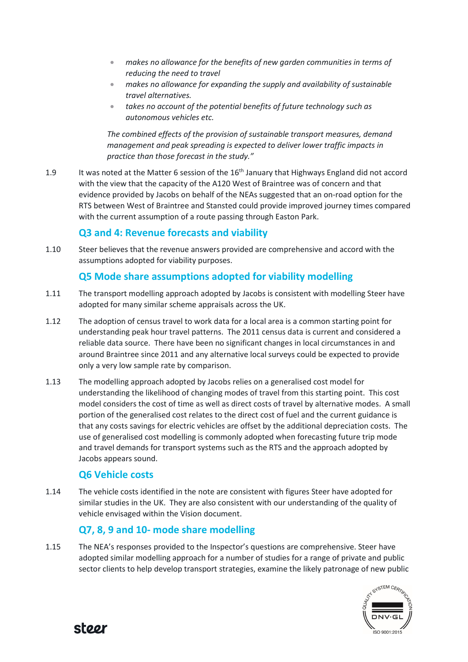- makes no allowance for the benefits of new garden communities in terms of reducing the need to travel
- makes no allowance for expanding the supply and availability of sustainable travel alternatives.
- takes no account of the potential benefits of future technology such as autonomous vehicles etc.

The combined effects of the provision of sustainable transport measures, demand management and peak spreading is expected to deliver lower traffic impacts in practice than those forecast in the study."

1.9 It was noted at the Matter 6 session of the 16<sup>th</sup> January that Highways England did not accord with the view that the capacity of the A120 West of Braintree was of concern and that evidence provided by Jacobs on behalf of the NEAs suggested that an on-road option for the RTS between West of Braintree and Stansted could provide improved journey times compared with the current assumption of a route passing through Easton Park.

## Q3 and 4: Revenue forecasts and viability

1.10 Steer believes that the revenue answers provided are comprehensive and accord with the assumptions adopted for viability purposes.

### Q5 Mode share assumptions adopted for viability modelling

- 1.11 The transport modelling approach adopted by Jacobs is consistent with modelling Steer have adopted for many similar scheme appraisals across the UK.
- 1.12 The adoption of census travel to work data for a local area is a common starting point for understanding peak hour travel patterns. The 2011 census data is current and considered a reliable data source. There have been no significant changes in local circumstances in and around Braintree since 2011 and any alternative local surveys could be expected to provide only a very low sample rate by comparison.
- 1.13 The modelling approach adopted by Jacobs relies on a generalised cost model for understanding the likelihood of changing modes of travel from this starting point. This cost model considers the cost of time as well as direct costs of travel by alternative modes. A small portion of the generalised cost relates to the direct cost of fuel and the current guidance is that any costs savings for electric vehicles are offset by the additional depreciation costs. The use of generalised cost modelling is commonly adopted when forecasting future trip mode and travel demands for transport systems such as the RTS and the approach adopted by Jacobs appears sound.

## Q6 Vehicle costs

1.14 The vehicle costs identified in the note are consistent with figures Steer have adopted for similar studies in the UK. They are also consistent with our understanding of the quality of vehicle envisaged within the Vision document.

## Q7, 8, 9 and 10- mode share modelling

1.15 The NEA's responses provided to the Inspector's questions are comprehensive. Steer have adopted similar modelling approach for a number of studies for a range of private and public sector clients to help develop transport strategies, examine the likely patronage of new public



stoor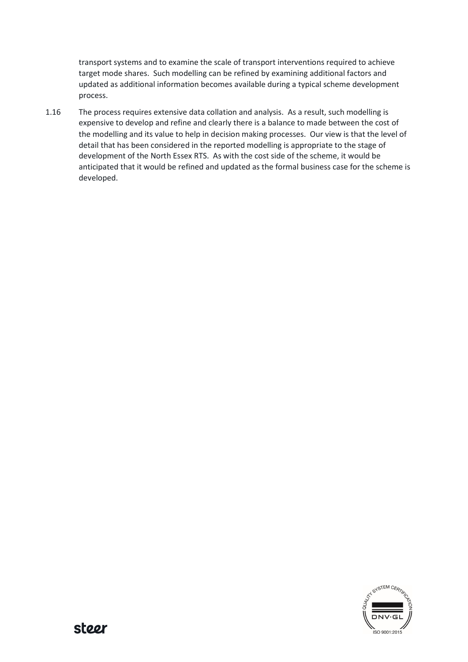transport systems and to examine the scale of transport interventions required to achieve target mode shares. Such modelling can be refined by examining additional factors and updated as additional information becomes available during a typical scheme development process.

1.16 The process requires extensive data collation and analysis. As a result, such modelling is expensive to develop and refine and clearly there is a balance to made between the cost of the modelling and its value to help in decision making processes. Our view is that the level of detail that has been considered in the reported modelling is appropriate to the stage of development of the North Essex RTS. As with the cost side of the scheme, it would be anticipated that it would be refined and updated as the formal business case for the scheme is developed.

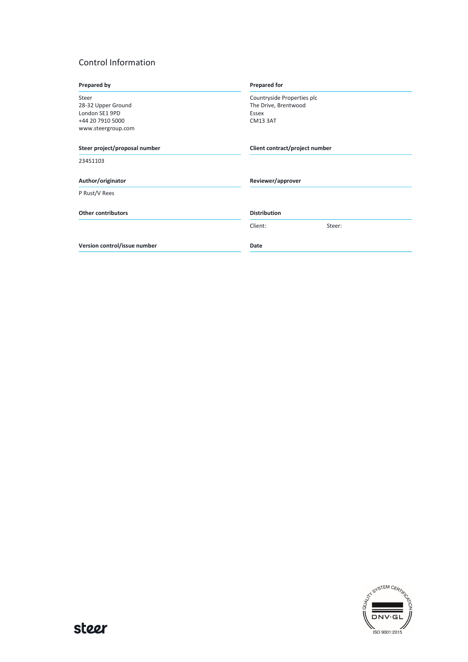#### Control Information

| Prepared by                   | <b>Prepared for</b>            |
|-------------------------------|--------------------------------|
| Steer                         | Countryside Properties plc     |
| 28-32 Upper Ground            | The Drive, Brentwood           |
| London SE1 9PD                | Essex                          |
| +44 20 7910 5000              | <b>CM13 3AT</b>                |
| www.steergroup.com            |                                |
| Steer project/proposal number | Client contract/project number |
| 23451103                      |                                |
| Author/originator             | Reviewer/approver              |
| P Rust/V Rees                 |                                |
| <b>Other contributors</b>     | <b>Distribution</b>            |
|                               | Client:<br>Steer:              |
| Version control/issue number  | Date                           |
|                               |                                |